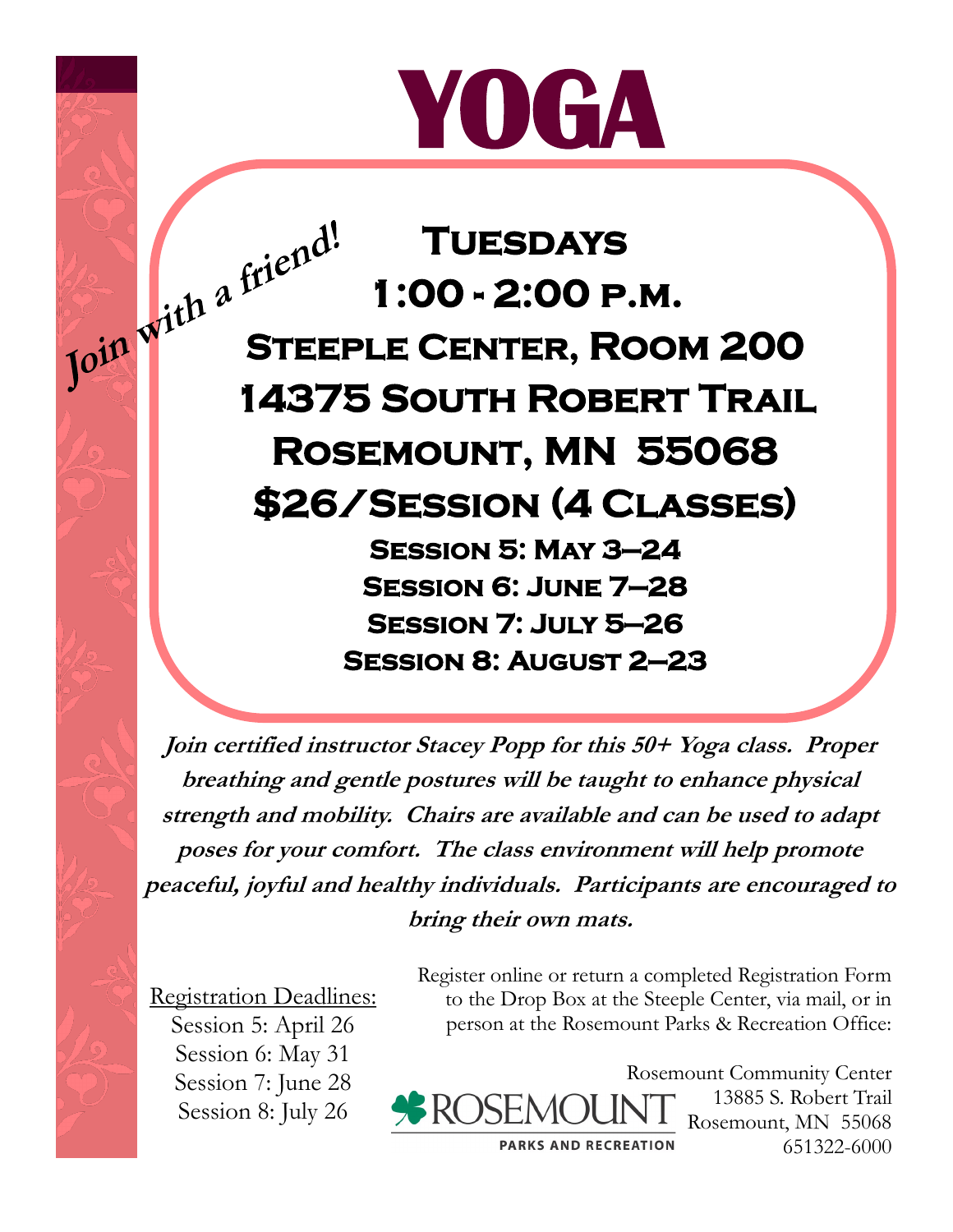## **YOGA**

**Tuesdays 1:00 - 2:00 p.m. STEEPLE CENTER, ROOM 200 STEEPLE CENTER, ROOM 200 14375 South Robert Trail Rosemount, MN 55068 \$26/Session (4 Classes) Session 5: May 3—24 Session 6: June 7—28 Session 7: July 5—26 Session 8: August 2—23** 

> **Join certified instructor Stacey Popp for this 50+ Yoga class. Proper breathing and gentle postures will be taught to enhance physical strength and mobility. Chairs are available and can be used to adapt poses for your comfort. The class environment will help promote peaceful, joyful and healthy individuals. Participants are encouraged to bring their own mats.**

Registration Deadlines: Session 5: April 26

> Session 6: May 31 Session 7: June 28 Session 8: July 26

Register online or return a completed Registration Form to the Drop Box at the Steeple Center, via mail, or in person at the Rosemount Parks & Recreation Office:



Rosemount Community Center 13885 S. Robert Trail Rosemount, MN 55068 651322-6000